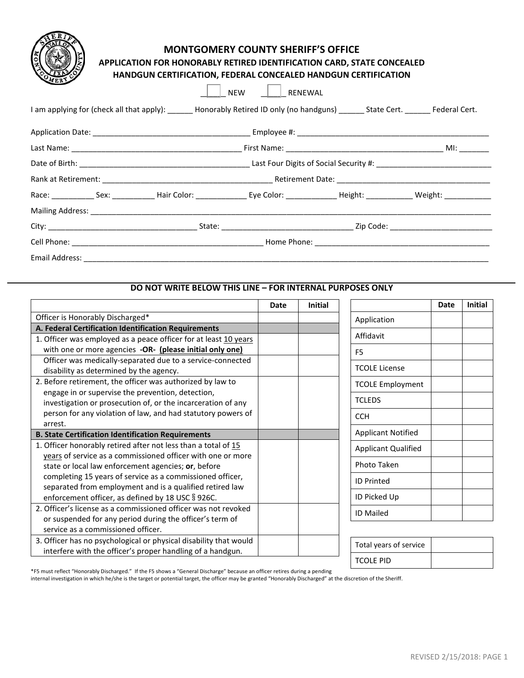# **MONTGOMERY COUNTY SHERIFF'S OFFICE**

**APPLICATION FOR HONORABLY RETIRED IDENTIFICATION CARD, STATE CONCEALED** 

|                              |  |                                                                                                                                      | <b>NEW</b><br>RENEWAL |  |  |  |  |
|------------------------------|--|--------------------------------------------------------------------------------------------------------------------------------------|-----------------------|--|--|--|--|
|                              |  | I am applying for (check all that apply): _______ Honorably Retired ID only (no handguns) _______ State Cert. ________ Federal Cert. |                       |  |  |  |  |
|                              |  |                                                                                                                                      |                       |  |  |  |  |
|                              |  |                                                                                                                                      |                       |  |  |  |  |
|                              |  |                                                                                                                                      |                       |  |  |  |  |
|                              |  |                                                                                                                                      |                       |  |  |  |  |
|                              |  |                                                                                                                                      |                       |  |  |  |  |
|                              |  |                                                                                                                                      |                       |  |  |  |  |
|                              |  |                                                                                                                                      |                       |  |  |  |  |
|                              |  |                                                                                                                                      |                       |  |  |  |  |
| Email Address: _____________ |  |                                                                                                                                      |                       |  |  |  |  |

## **DO NOT WRITE BELOW THIS LINE – FOR INTERNAL PURPOSES ONLY**

| Officer is Honorably Discharged*<br>Application<br>A. Federal Certification Identification Requirements<br>Affidavit<br>1. Officer was employed as a peace officer for at least 10 years<br>with one or more agencies -OR- (please initial only one)<br>F <sub>5</sub><br>Officer was medically-separated due to a service-connected<br><b>TCOLE License</b><br>disability as determined by the agency.<br>2. Before retirement, the officer was authorized by law to<br><b>TCOLE Employment</b><br>engage in or supervise the prevention, detection,<br><b>TCLEDS</b><br>investigation or prosecution of, or the incarceration of any<br>person for any violation of law, and had statutory powers of<br><b>CCH</b><br>arrest.<br><b>Applicant Notified</b><br><b>B. State Certification Identification Requirements</b><br>1. Officer honorably retired after not less than a total of 15<br><b>Applicant Qualified</b><br>years of service as a commissioned officer with one or more<br>Photo Taken<br>state or local law enforcement agencies; or, before<br>completing 15 years of service as a commissioned officer,<br><b>ID Printed</b><br>separated from employment and is a qualified retired law<br>ID Picked Up<br>enforcement officer, as defined by 18 USC § 926C.<br>2. Officer's license as a commissioned officer was not revoked<br><b>ID Mailed</b><br>or suspended for any period during the officer's term of<br>service as a commissioned officer. |                                                                   | Date | <b>Initial</b> | Date | <b>Initial</b> |
|---------------------------------------------------------------------------------------------------------------------------------------------------------------------------------------------------------------------------------------------------------------------------------------------------------------------------------------------------------------------------------------------------------------------------------------------------------------------------------------------------------------------------------------------------------------------------------------------------------------------------------------------------------------------------------------------------------------------------------------------------------------------------------------------------------------------------------------------------------------------------------------------------------------------------------------------------------------------------------------------------------------------------------------------------------------------------------------------------------------------------------------------------------------------------------------------------------------------------------------------------------------------------------------------------------------------------------------------------------------------------------------------------------------------------------------------------------------------------|-------------------------------------------------------------------|------|----------------|------|----------------|
|                                                                                                                                                                                                                                                                                                                                                                                                                                                                                                                                                                                                                                                                                                                                                                                                                                                                                                                                                                                                                                                                                                                                                                                                                                                                                                                                                                                                                                                                           |                                                                   |      |                |      |                |
|                                                                                                                                                                                                                                                                                                                                                                                                                                                                                                                                                                                                                                                                                                                                                                                                                                                                                                                                                                                                                                                                                                                                                                                                                                                                                                                                                                                                                                                                           |                                                                   |      |                |      |                |
|                                                                                                                                                                                                                                                                                                                                                                                                                                                                                                                                                                                                                                                                                                                                                                                                                                                                                                                                                                                                                                                                                                                                                                                                                                                                                                                                                                                                                                                                           |                                                                   |      |                |      |                |
|                                                                                                                                                                                                                                                                                                                                                                                                                                                                                                                                                                                                                                                                                                                                                                                                                                                                                                                                                                                                                                                                                                                                                                                                                                                                                                                                                                                                                                                                           |                                                                   |      |                |      |                |
|                                                                                                                                                                                                                                                                                                                                                                                                                                                                                                                                                                                                                                                                                                                                                                                                                                                                                                                                                                                                                                                                                                                                                                                                                                                                                                                                                                                                                                                                           |                                                                   |      |                |      |                |
|                                                                                                                                                                                                                                                                                                                                                                                                                                                                                                                                                                                                                                                                                                                                                                                                                                                                                                                                                                                                                                                                                                                                                                                                                                                                                                                                                                                                                                                                           |                                                                   |      |                |      |                |
|                                                                                                                                                                                                                                                                                                                                                                                                                                                                                                                                                                                                                                                                                                                                                                                                                                                                                                                                                                                                                                                                                                                                                                                                                                                                                                                                                                                                                                                                           |                                                                   |      |                |      |                |
|                                                                                                                                                                                                                                                                                                                                                                                                                                                                                                                                                                                                                                                                                                                                                                                                                                                                                                                                                                                                                                                                                                                                                                                                                                                                                                                                                                                                                                                                           |                                                                   |      |                |      |                |
|                                                                                                                                                                                                                                                                                                                                                                                                                                                                                                                                                                                                                                                                                                                                                                                                                                                                                                                                                                                                                                                                                                                                                                                                                                                                                                                                                                                                                                                                           |                                                                   |      |                |      |                |
|                                                                                                                                                                                                                                                                                                                                                                                                                                                                                                                                                                                                                                                                                                                                                                                                                                                                                                                                                                                                                                                                                                                                                                                                                                                                                                                                                                                                                                                                           |                                                                   |      |                |      |                |
|                                                                                                                                                                                                                                                                                                                                                                                                                                                                                                                                                                                                                                                                                                                                                                                                                                                                                                                                                                                                                                                                                                                                                                                                                                                                                                                                                                                                                                                                           |                                                                   |      |                |      |                |
|                                                                                                                                                                                                                                                                                                                                                                                                                                                                                                                                                                                                                                                                                                                                                                                                                                                                                                                                                                                                                                                                                                                                                                                                                                                                                                                                                                                                                                                                           |                                                                   |      |                |      |                |
|                                                                                                                                                                                                                                                                                                                                                                                                                                                                                                                                                                                                                                                                                                                                                                                                                                                                                                                                                                                                                                                                                                                                                                                                                                                                                                                                                                                                                                                                           |                                                                   |      |                |      |                |
|                                                                                                                                                                                                                                                                                                                                                                                                                                                                                                                                                                                                                                                                                                                                                                                                                                                                                                                                                                                                                                                                                                                                                                                                                                                                                                                                                                                                                                                                           |                                                                   |      |                |      |                |
|                                                                                                                                                                                                                                                                                                                                                                                                                                                                                                                                                                                                                                                                                                                                                                                                                                                                                                                                                                                                                                                                                                                                                                                                                                                                                                                                                                                                                                                                           |                                                                   |      |                |      |                |
|                                                                                                                                                                                                                                                                                                                                                                                                                                                                                                                                                                                                                                                                                                                                                                                                                                                                                                                                                                                                                                                                                                                                                                                                                                                                                                                                                                                                                                                                           |                                                                   |      |                |      |                |
|                                                                                                                                                                                                                                                                                                                                                                                                                                                                                                                                                                                                                                                                                                                                                                                                                                                                                                                                                                                                                                                                                                                                                                                                                                                                                                                                                                                                                                                                           |                                                                   |      |                |      |                |
|                                                                                                                                                                                                                                                                                                                                                                                                                                                                                                                                                                                                                                                                                                                                                                                                                                                                                                                                                                                                                                                                                                                                                                                                                                                                                                                                                                                                                                                                           |                                                                   |      |                |      |                |
|                                                                                                                                                                                                                                                                                                                                                                                                                                                                                                                                                                                                                                                                                                                                                                                                                                                                                                                                                                                                                                                                                                                                                                                                                                                                                                                                                                                                                                                                           |                                                                   |      |                |      |                |
|                                                                                                                                                                                                                                                                                                                                                                                                                                                                                                                                                                                                                                                                                                                                                                                                                                                                                                                                                                                                                                                                                                                                                                                                                                                                                                                                                                                                                                                                           |                                                                   |      |                |      |                |
| Total years of service                                                                                                                                                                                                                                                                                                                                                                                                                                                                                                                                                                                                                                                                                                                                                                                                                                                                                                                                                                                                                                                                                                                                                                                                                                                                                                                                                                                                                                                    | 3. Officer has no psychological or physical disability that would |      |                |      |                |
| <b>TCOLE PID</b>                                                                                                                                                                                                                                                                                                                                                                                                                                                                                                                                                                                                                                                                                                                                                                                                                                                                                                                                                                                                                                                                                                                                                                                                                                                                                                                                                                                                                                                          | interfere with the officer's proper handling of a handgun.        |      |                |      |                |

\*F5 must reflect "Honorably Discharged." If the F5 shows a "General Discharge" because an officer retires during a pending

internal investigation in which he/she is the target or potential target, the officer may be granted "Honorably Discharged" at the discretion of the Sheriff.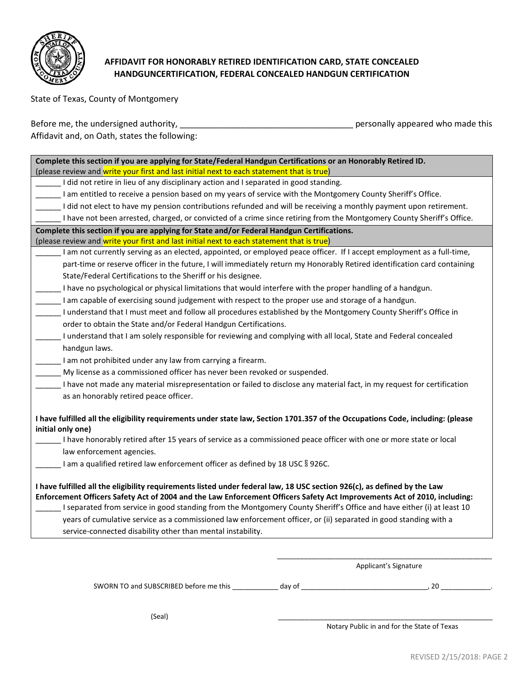

# **AFFIDAVIT FOR HONORABLY RETIRED IDENTIFICATION CARD, STATE CONCEALED HANDGUNCERTIFICATION, FEDERAL CONCEALED HANDGUN CERTIFICATION**

State of Texas, County of Montgomery

Before me, the undersigned authority, \_\_\_\_\_\_\_\_\_\_\_\_\_\_\_\_\_\_\_\_\_\_\_\_\_\_\_\_\_\_\_\_\_\_\_\_\_ personally appeared who made this

Affidavit and, on Oath, states the following:

| Complete this section if you are applying for State/Federal Handgun Certifications or an Honorably Retired ID.                  |
|---------------------------------------------------------------------------------------------------------------------------------|
| (please review and write your first and last initial next to each statement that is true)                                       |
| I did not retire in lieu of any disciplinary action and I separated in good standing.                                           |
| I am entitled to receive a pension based on my years of service with the Montgomery County Sheriff's Office.                    |
| I did not elect to have my pension contributions refunded and will be receiving a monthly payment upon retirement.              |
| I have not been arrested, charged, or convicted of a crime since retiring from the Montgomery County Sheriff's Office.          |
| Complete this section if you are applying for State and/or Federal Handgun Certifications.                                      |
| (please review and write your first and last initial next to each statement that is true)                                       |
| I am not currently serving as an elected, appointed, or employed peace officer. If I accept employment as a full-time,          |
| part-time or reserve officer in the future, I will immediately return my Honorably Retired identification card containing       |
| State/Federal Certifications to the Sheriff or his designee.                                                                    |
| I have no psychological or physical limitations that would interfere with the proper handling of a handgun.                     |
| I am capable of exercising sound judgement with respect to the proper use and storage of a handgun.                             |
| I understand that I must meet and follow all procedures established by the Montgomery County Sheriff's Office in                |
| order to obtain the State and/or Federal Handgun Certifications.                                                                |
| I understand that I am solely responsible for reviewing and complying with all local, State and Federal concealed               |
| handgun laws.                                                                                                                   |
| I am not prohibited under any law from carrying a firearm.                                                                      |
| My license as a commissioned officer has never been revoked or suspended.                                                       |
| I have not made any material misrepresentation or failed to disclose any material fact, in my request for certification         |
| as an honorably retired peace officer.                                                                                          |
|                                                                                                                                 |
| I have fulfilled all the eligibility requirements under state law, Section 1701.357 of the Occupations Code, including: (please |
| initial only one)                                                                                                               |
| I have honorably retired after 15 years of service as a commissioned peace officer with one or more state or local              |
| law enforcement agencies.                                                                                                       |
| I am a qualified retired law enforcement officer as defined by 18 USC § 926C.                                                   |
|                                                                                                                                 |
| I have fulfilled all the eligibility requirements listed under federal law, 18 USC section 926(c), as defined by the Law        |
| Enforcement Officers Safety Act of 2004 and the Law Enforcement Officers Safety Act Improvements Act of 2010, including:        |
| I separated from service in good standing from the Montgomery County Sheriff's Office and have either (i) at least 10           |
| years of cumulative service as a commissioned law enforcement officer, or (ii) separated in good standing with a                |
| service-connected disability other than mental instability.                                                                     |

\_\_\_\_\_\_\_\_\_\_\_\_\_\_\_\_\_\_\_\_\_\_\_\_\_\_\_\_\_\_\_\_\_\_\_\_\_\_\_\_\_\_\_\_\_\_\_\_\_\_\_\_\_\_\_\_ Applicant's Signature

SWORN TO and SUBSCRIBED before me this \_\_\_\_\_\_\_\_\_\_\_\_ day of \_\_\_\_\_\_\_\_\_\_\_\_\_\_\_\_\_\_\_\_\_\_\_\_\_\_\_\_\_\_\_\_\_, 20 \_\_\_\_\_\_\_\_\_\_\_\_\_.

(Seal) \_\_\_\_\_\_\_\_\_\_\_\_\_\_\_\_\_\_\_\_\_\_\_\_\_\_\_\_\_\_\_\_\_\_\_\_\_\_\_\_\_\_\_\_\_\_\_\_\_\_\_\_\_\_\_\_

Notary Public in and for the State of Texas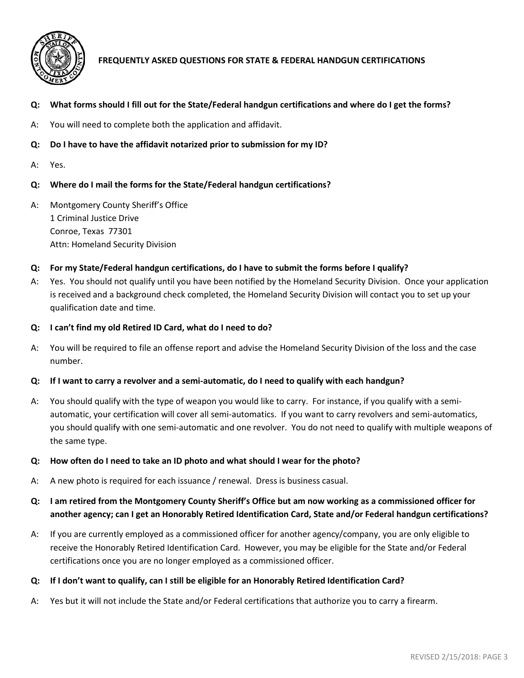

# **FREQUENTLY ASKED QUESTIONS FOR STATE & FEDERAL HANDGUN CERTIFICATIONS**

#### **Q: What forms should I fill out for the State/Federal handgun certifications and where do I get the forms?**

A: You will need to complete both the application and affidavit.

- **Q: Do I have to have the affidavit notarized prior to submission for my ID?**
- A: Yes.

## **Q: Where do I mail the forms for the State/Federal handgun certifications?**

A: Montgomery County Sheriff's Office 1 Criminal Justice Drive Conroe, Texas 77301 Attn: Homeland Security Division

#### **Q: For my State/Federal handgun certifications, do I have to submit the forms before I qualify?**

- A: Yes. You should not qualify until you have been notified by the Homeland Security Division. Once your application is received and a background check completed, the Homeland Security Division will contact you to set up your qualification date and time.
- **Q: I can't find my old Retired ID Card, what do I need to do?**
- A: You will be required to file an offense report and advise the Homeland Security Division of the loss and the case number.

#### **Q: If I want to carry a revolver and a semi-automatic, do I need to qualify with each handgun?**

A: You should qualify with the type of weapon you would like to carry. For instance, if you qualify with a semiautomatic, your certification will cover all semi-automatics. If you want to carry revolvers and semi-automatics, you should qualify with one semi-automatic and one revolver. You do not need to qualify with multiple weapons of the same type.

#### **Q: How often do I need to take an ID photo and what should I wear for the photo?**

A: A new photo is required for each issuance / renewal. Dress is business casual.

# **Q: I am retired from the Montgomery County Sheriff's Office but am now working as a commissioned officer for another agency; can I get an Honorably Retired Identification Card, State and/or Federal handgun certifications?**

A: If you are currently employed as a commissioned officer for another agency/company, you are only eligible to receive the Honorably Retired Identification Card. However, you may be eligible for the State and/or Federal certifications once you are no longer employed as a commissioned officer.

#### **Q: If I don't want to qualify, can I still be eligible for an Honorably Retired Identification Card?**

A: Yes but it will not include the State and/or Federal certifications that authorize you to carry a firearm.